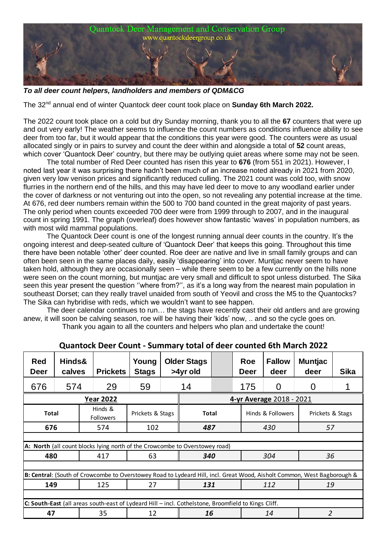

*To all deer count helpers, landholders and members of QDM&CG*

The 32<sup>nd</sup> annual end of winter Quantock deer count took place on **Sunday 6th March 2022.** 

The 2022 count took place on a cold but dry Sunday morning, thank you to all the **67** counters that were up and out very early! The weather seems to influence the count numbers as conditions influence ability to see deer from too far, but it would appear that the conditions this year were good. The counters were as usual allocated singly or in pairs to survey and count the deer within and alongside a total of **52** count areas, which cover 'Quantock Deer' country, but there may be outlying quiet areas where some may not be seen.

The total number of Red Deer counted has risen this year to **676** (from 551 in 2021). However, I noted last year it was surprising there hadn't been much of an increase noted already in 2021 from 2020, given very low venison prices and significantly reduced culling. The 2021 count was cold too, with snow flurries in the northern end of the hills, and this may have led deer to move to any woodland earlier under the cover of darkness or not venturing out into the open, so not revealing any potential increase at the time. At 676, red deer numbers remain within the 500 to 700 band counted in the great majority of past years. The only period when counts exceeded 700 deer were from 1999 through to 2007, and in the inaugural count in spring 1991. The graph (overleaf) does however show fantastic 'waves' in population numbers, as with most wild mammal populations.

The Quantock Deer count is one of the longest running annual deer counts in the country. It's the ongoing interest and deep-seated culture of 'Quantock Deer' that keeps this going. Throughout this time there have been notable 'other' deer counted. Roe deer are native and live in small family groups and can often been seen in the same places daily, easily 'disappearing' into cover. Muntjac never seem to have taken hold, although they are occasionally seen – while there seem to be a few currently on the hills none were seen on the count morning, but muntjac are very small and difficult to spot unless disturbed. The Sika seen this year present the question ''where from?'', as it's a long way from the nearest main population in southeast Dorset; can they really travel unaided from south of Yeovil and cross the M5 to the Quantocks? The Sika can hybridise with reds, which we wouldn't want to see happen.

The deer calendar continues to run… the stags have recently cast their old antlers and are growing anew, it will soon be calving season, roe will be having their 'kids' now, .. and so the cycle goes on. Thank you again to all the counters and helpers who plan and undertake the count!

| <b>Red</b><br><b>Deer</b> | Hinds&<br>calves |  | <b>Prickets</b>                                                                                     | Young<br><b>Stags</b> |  | <b>Older Stags</b><br>>4yr old |  | Roe<br>Deer | <b>Fallow</b><br>deer | <b>Muntjac</b><br>deer                                                                                                  | <b>Sika</b> |  |  |  |  |  |  |
|---------------------------|------------------|--|-----------------------------------------------------------------------------------------------------|-----------------------|--|--------------------------------|--|-------------|-----------------------|-------------------------------------------------------------------------------------------------------------------------|-------------|--|--|--|--|--|--|
| 676                       | 574              |  | 29                                                                                                  | 59                    |  |                                |  | 175         | 0                     | 0                                                                                                                       |             |  |  |  |  |  |  |
|                           |                  |  | <b>Year 2022</b>                                                                                    |                       |  | 4-yr Average 2018 - 2021       |  |             |                       |                                                                                                                         |             |  |  |  |  |  |  |
| <b>Total</b>              |                  |  | Hinds &<br><b>Followers</b>                                                                         | Prickets & Stags      |  | <b>Total</b>                   |  |             | Hinds & Followers     | Prickets & Stags                                                                                                        |             |  |  |  |  |  |  |
| 676                       |                  |  | 574                                                                                                 | 102                   |  | 487                            |  |             | 430                   | 57                                                                                                                      |             |  |  |  |  |  |  |
|                           |                  |  |                                                                                                     |                       |  |                                |  |             |                       |                                                                                                                         |             |  |  |  |  |  |  |
|                           |                  |  | A: North (all count blocks lying north of the Crowcombe to Overstowey road)                         |                       |  |                                |  |             |                       |                                                                                                                         |             |  |  |  |  |  |  |
| 480                       |                  |  | 417                                                                                                 | 63                    |  | 340                            |  |             | 304                   |                                                                                                                         | 36          |  |  |  |  |  |  |
|                           |                  |  |                                                                                                     |                       |  |                                |  |             |                       |                                                                                                                         |             |  |  |  |  |  |  |
|                           |                  |  |                                                                                                     |                       |  |                                |  |             |                       | B: Central: (South of Crowcombe to Overstowey Road to Lydeard Hill, incl. Great Wood, Aisholt Common, West Bagborough & |             |  |  |  |  |  |  |
| 149                       |                  |  | 125                                                                                                 | 27                    |  | 131                            |  |             | 112                   | 19                                                                                                                      |             |  |  |  |  |  |  |
|                           |                  |  | C: South-East (all areas south-east of Lydeard Hill - incl. Cothelstone, Broomfield to Kings Cliff. |                       |  |                                |  |             |                       |                                                                                                                         |             |  |  |  |  |  |  |
| 47                        |                  |  | 35                                                                                                  | 12                    |  | 16                             |  |             | 14                    | $\overline{2}$                                                                                                          |             |  |  |  |  |  |  |
|                           |                  |  |                                                                                                     |                       |  |                                |  |             |                       |                                                                                                                         |             |  |  |  |  |  |  |

| Quantock Deer Count - Summary total of deer counted 6th March 2022 |  |  |  |
|--------------------------------------------------------------------|--|--|--|
|--------------------------------------------------------------------|--|--|--|